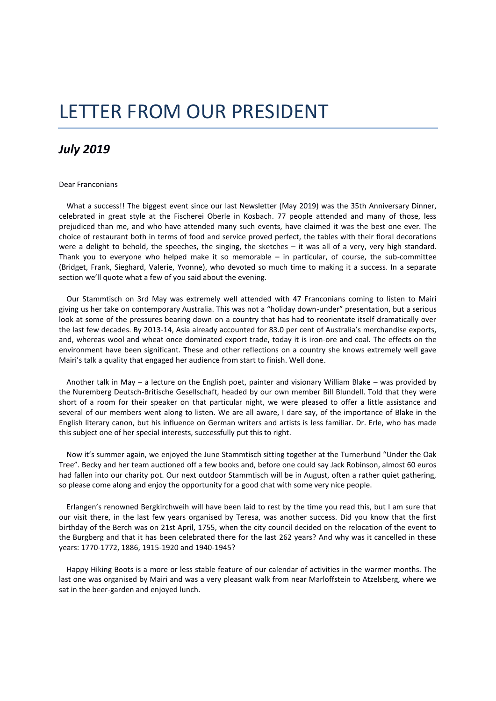## LETTER FROM OUR PRESIDENT

## *July 2019*

## Dear Franconians

 What a success!! The biggest event since our last Newsletter (May 2019) was the 35th Anniversary Dinner, celebrated in great style at the Fischerei Oberle in Kosbach. 77 people attended and many of those, less prejudiced than me, and who have attended many such events, have claimed it was the best one ever. The choice of restaurant both in terms of food and service proved perfect, the tables with their floral decorations were a delight to behold, the speeches, the singing, the sketches – it was all of a very, very high standard. Thank you to everyone who helped make it so memorable – in particular, of course, the sub-committee (Bridget, Frank, Sieghard, Valerie, Yvonne), who devoted so much time to making it a success. In a separate section we'll quote what a few of you said about the evening.

 Our Stammtisch on 3rd May was extremely well attended with 47 Franconians coming to listen to Mairi giving us her take on contemporary Australia. This was not a "holiday down-under" presentation, but a serious look at some of the pressures bearing down on a country that has had to reorientate itself dramatically over the last few decades. By 2013-14, Asia already accounted for 83.0 per cent of Australia's merchandise exports, and, whereas wool and wheat once dominated export trade, today it is iron-ore and coal. The effects on the environment have been significant. These and other reflections on a country she knows extremely well gave Mairi's talk a quality that engaged her audience from start to finish. Well done.

 Another talk in May – a lecture on the English poet, painter and visionary William Blake – was provided by the Nuremberg Deutsch-Britische Gesellschaft, headed by our own member Bill Blundell. Told that they were short of a room for their speaker on that particular night, we were pleased to offer a little assistance and several of our members went along to listen. We are all aware, I dare say, of the importance of Blake in the English literary canon, but his influence on German writers and artists is less familiar. Dr. Erle, who has made this subject one of her special interests, successfully put this to right.

 Now it's summer again, we enjoyed the June Stammtisch sitting together at the Turnerbund "Under the Oak Tree". Becky and her team auctioned off a few books and, before one could say Jack Robinson, almost 60 euros had fallen into our charity pot. Our next outdoor Stammtisch will be in August, often a rather quiet gathering, so please come along and enjoy the opportunity for a good chat with some very nice people.

 Erlangen's renowned Bergkirchweih will have been laid to rest by the time you read this, but I am sure that our visit there, in the last few years organised by Teresa, was another success. Did you know that the first birthday of the Berch was on 21st April, 1755, when the city council decided on the relocation of the event to the Burgberg and that it has been celebrated there for the last 262 years? And why was it cancelled in these years: 1770-1772, 1886, 1915-1920 and 1940-1945?

 Happy Hiking Boots is a more or less stable feature of our calendar of activities in the warmer months. The last one was organised by Mairi and was a very pleasant walk from near Marloffstein to Atzelsberg, where we sat in the beer-garden and enjoyed lunch.